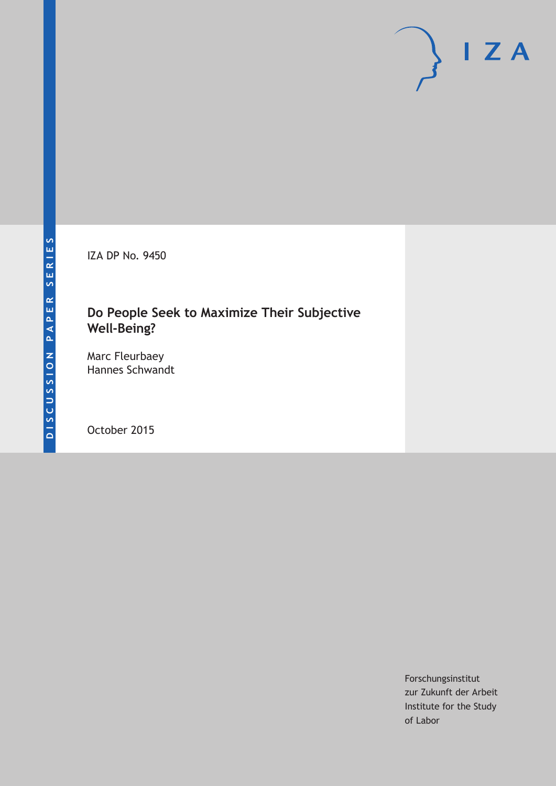IZA DP No. 9450

# **Do People Seek to Maximize Their Subjective Well‐Being?**

Marc Fleurbaey Hannes Schwandt

October 2015

Forschungsinstitut zur Zukunft der Arbeit Institute for the Study of Labor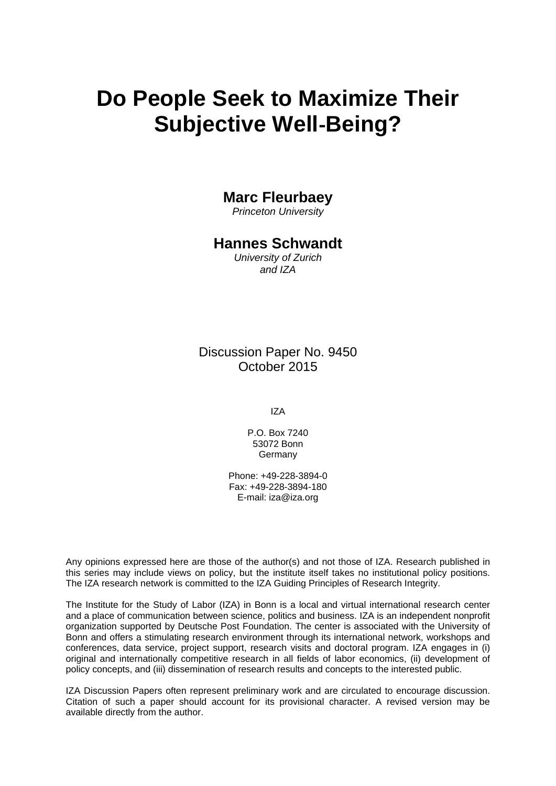# **Do People Seek to Maximize Their Subjective Well**‐**Being?**

# **Marc Fleurbaey**

*Princeton University* 

# **Hannes Schwandt**

*University of Zurich and IZA* 

Discussion Paper No. 9450 October 2015

IZA

P.O. Box 7240 53072 Bonn Germany

Phone: +49-228-3894-0 Fax: +49-228-3894-180 E-mail: iza@iza.org

Any opinions expressed here are those of the author(s) and not those of IZA. Research published in this series may include views on policy, but the institute itself takes no institutional policy positions. The IZA research network is committed to the IZA Guiding Principles of Research Integrity.

The Institute for the Study of Labor (IZA) in Bonn is a local and virtual international research center and a place of communication between science, politics and business. IZA is an independent nonprofit organization supported by Deutsche Post Foundation. The center is associated with the University of Bonn and offers a stimulating research environment through its international network, workshops and conferences, data service, project support, research visits and doctoral program. IZA engages in (i) original and internationally competitive research in all fields of labor economics, (ii) development of policy concepts, and (iii) dissemination of research results and concepts to the interested public.

IZA Discussion Papers often represent preliminary work and are circulated to encourage discussion. Citation of such a paper should account for its provisional character. A revised version may be available directly from the author.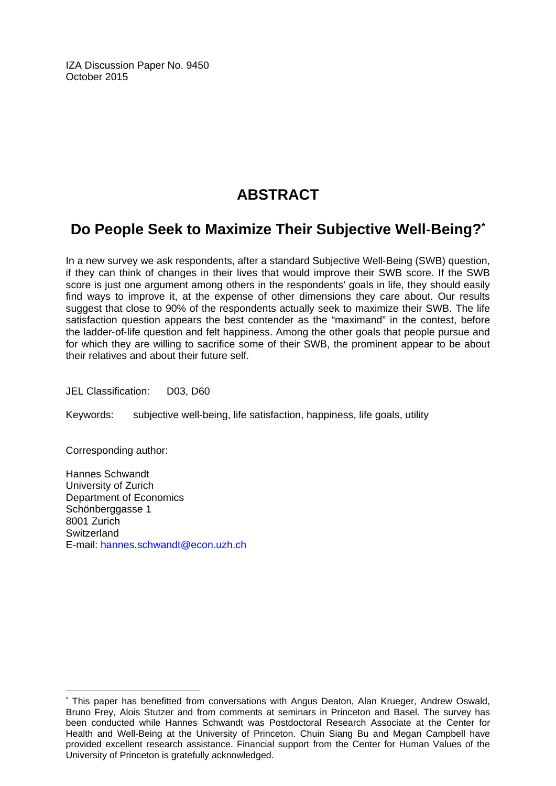IZA Discussion Paper No. 9450 October 2015

# **ABSTRACT**

# **Do People Seek to Maximize Their Subjective Well**‐**Being?\***

In a new survey we ask respondents, after a standard Subjective Well‐Being (SWB) question, if they can think of changes in their lives that would improve their SWB score. If the SWB score is just one argument among others in the respondents' goals in life, they should easily find ways to improve it, at the expense of other dimensions they care about. Our results suggest that close to 90% of the respondents actually seek to maximize their SWB. The life satisfaction question appears the best contender as the "maximand" in the contest, before the ladder‐of‐life question and felt happiness. Among the other goals that people pursue and for which they are willing to sacrifice some of their SWB, the prominent appear to be about their relatives and about their future self.

JEL Classification: D03, D60

Keywords: subjective well-being, life satisfaction, happiness, life goals, utility

Corresponding author:

 $\overline{a}$ 

Hannes Schwandt University of Zurich Department of Economics Schönberggasse 1 8001 Zurich **Switzerland** E-mail: hannes.schwandt@econ.uzh.ch

<sup>\*</sup> This paper has benefitted from conversations with Angus Deaton, Alan Krueger, Andrew Oswald, Bruno Frey, Alois Stutzer and from comments at seminars in Princeton and Basel. The survey has been conducted while Hannes Schwandt was Postdoctoral Research Associate at the Center for Health and Well-Being at the University of Princeton. Chuin Siang Bu and Megan Campbell have provided excellent research assistance. Financial support from the Center for Human Values of the University of Princeton is gratefully acknowledged.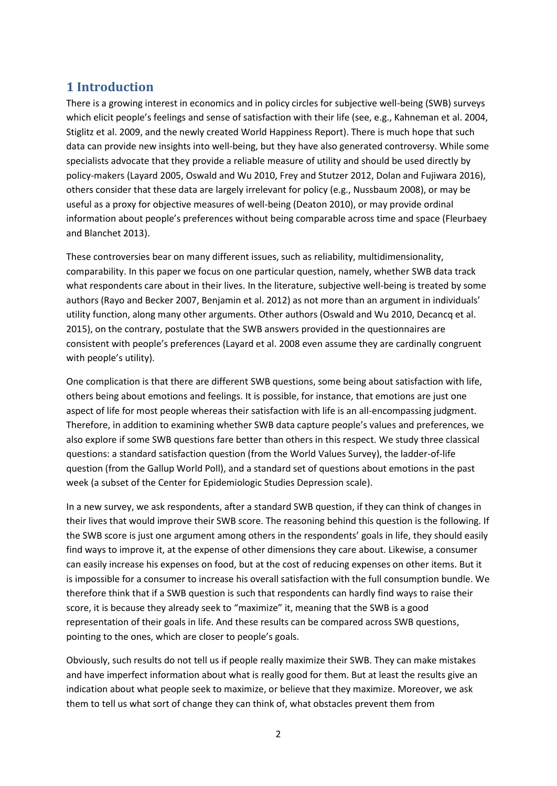# **1 Introduction**

There is a growing interest in economics and in policy circles for subjective well-being (SWB) surveys which elicit people's feelings and sense of satisfaction with their life (see, e.g., Kahneman et al. 2004, Stiglitz et al. 2009, and the newly created World Happiness Report). There is much hope that such data can provide new insights into well-being, but they have also generated controversy. While some specialists advocate that they provide a reliable measure of utility and should be used directly by policy-makers (Layard 2005, Oswald and Wu 2010, Frey and Stutzer 2012, Dolan and Fujiwara 2016), others consider that these data are largely irrelevant for policy (e.g., Nussbaum 2008), or may be useful as a proxy for objective measures of well-being (Deaton 2010), or may provide ordinal information about people's preferences without being comparable across time and space (Fleurbaey and Blanchet 2013).

These controversies bear on many different issues, such as reliability, multidimensionality, comparability. In this paper we focus on one particular question, namely, whether SWB data track what respondents care about in their lives. In the literature, subjective well-being is treated by some authors (Rayo and Becker 2007, Benjamin et al. 2012) as not more than an argument in individuals' utility function, along many other arguments. Other authors (Oswald and Wu 2010, Decancq et al. 2015), on the contrary, postulate that the SWB answers provided in the questionnaires are consistent with people's preferences (Layard et al. 2008 even assume they are cardinally congruent with people's utility).

One complication is that there are different SWB questions, some being about satisfaction with life, others being about emotions and feelings. It is possible, for instance, that emotions are just one aspect of life for most people whereas their satisfaction with life is an all-encompassing judgment. Therefore, in addition to examining whether SWB data capture people's values and preferences, we also explore if some SWB questions fare better than others in this respect. We study three classical questions: a standard satisfaction question (from the World Values Survey), the ladder-of-life question (from the Gallup World Poll), and a standard set of questions about emotions in the past week (a subset of the Center for Epidemiologic Studies Depression scale).

In a new survey, we ask respondents, after a standard SWB question, if they can think of changes in their lives that would improve their SWB score. The reasoning behind this question is the following. If the SWB score is just one argument among others in the respondents' goals in life, they should easily find ways to improve it, at the expense of other dimensions they care about. Likewise, a consumer can easily increase his expenses on food, but at the cost of reducing expenses on other items. But it is impossible for a consumer to increase his overall satisfaction with the full consumption bundle. We therefore think that if a SWB question is such that respondents can hardly find ways to raise their score, it is because they already seek to "maximize" it, meaning that the SWB is a good representation of their goals in life. And these results can be compared across SWB questions, pointing to the ones, which are closer to people's goals.

Obviously, such results do not tell us if people really maximize their SWB. They can make mistakes and have imperfect information about what is really good for them. But at least the results give an indication about what people seek to maximize, or believe that they maximize. Moreover, we ask them to tell us what sort of change they can think of, what obstacles prevent them from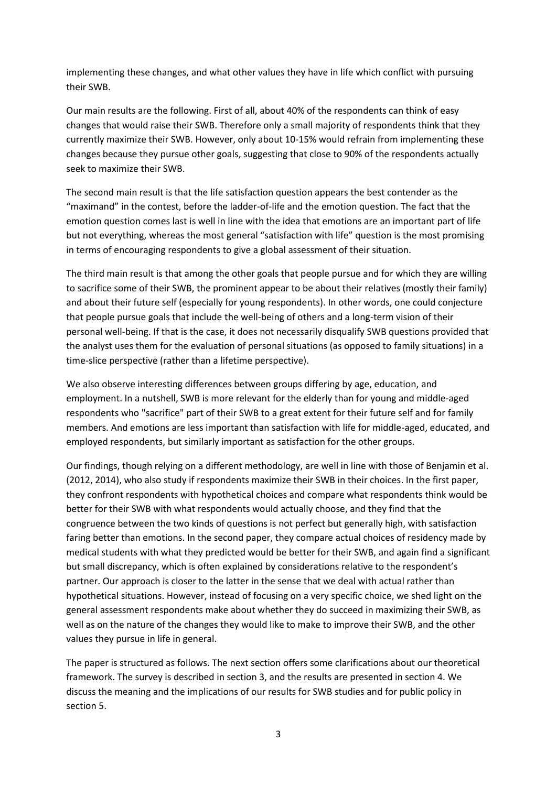implementing these changes, and what other values they have in life which conflict with pursuing their SWB.

Our main results are the following. First of all, about 40% of the respondents can think of easy changes that would raise their SWB. Therefore only a small majority of respondents think that they currently maximize their SWB. However, only about 10-15% would refrain from implementing these changes because they pursue other goals, suggesting that close to 90% of the respondents actually seek to maximize their SWB.

The second main result is that the life satisfaction question appears the best contender as the "maximand" in the contest, before the ladder-of-life and the emotion question. The fact that the emotion question comes last is well in line with the idea that emotions are an important part of life but not everything, whereas the most general "satisfaction with life" question is the most promising in terms of encouraging respondents to give a global assessment of their situation.

The third main result is that among the other goals that people pursue and for which they are willing to sacrifice some of their SWB, the prominent appear to be about their relatives (mostly their family) and about their future self (especially for young respondents). In other words, one could conjecture that people pursue goals that include the well-being of others and a long-term vision of their personal well-being. If that is the case, it does not necessarily disqualify SWB questions provided that the analyst uses them for the evaluation of personal situations (as opposed to family situations) in a time-slice perspective (rather than a lifetime perspective).

We also observe interesting differences between groups differing by age, education, and employment. In a nutshell, SWB is more relevant for the elderly than for young and middle-aged respondents who "sacrifice" part of their SWB to a great extent for their future self and for family members. And emotions are less important than satisfaction with life for middle-aged, educated, and employed respondents, but similarly important as satisfaction for the other groups.

Our findings, though relying on a different methodology, are well in line with those of Benjamin et al. (2012, 2014), who also study if respondents maximize their SWB in their choices. In the first paper, they confront respondents with hypothetical choices and compare what respondents think would be better for their SWB with what respondents would actually choose, and they find that the congruence between the two kinds of questions is not perfect but generally high, with satisfaction faring better than emotions. In the second paper, they compare actual choices of residency made by medical students with what they predicted would be better for their SWB, and again find a significant but small discrepancy, which is often explained by considerations relative to the respondent's partner. Our approach is closer to the latter in the sense that we deal with actual rather than hypothetical situations. However, instead of focusing on a very specific choice, we shed light on the general assessment respondents make about whether they do succeed in maximizing their SWB, as well as on the nature of the changes they would like to make to improve their SWB, and the other values they pursue in life in general.

The paper is structured as follows. The next section offers some clarifications about our theoretical framework. The survey is described in section 3, and the results are presented in section 4. We discuss the meaning and the implications of our results for SWB studies and for public policy in section 5.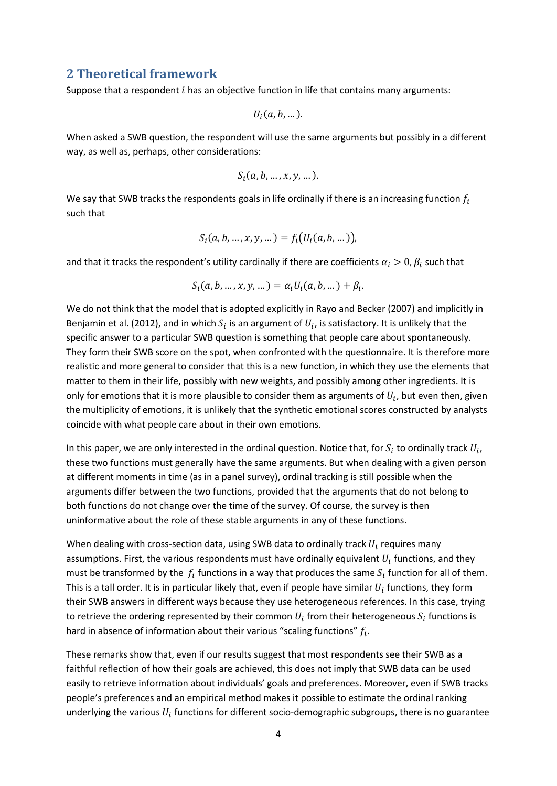### **2 Theoretical framework**

Suppose that a respondent  $i$  has an objective function in life that contains many arguments:

$$
U_i(a,b,...).
$$

When asked a SWB question, the respondent will use the same arguments but possibly in a different way, as well as, perhaps, other considerations:

$$
S_i(a,b,\ldots,x,y,\ldots).
$$

We say that SWB tracks the respondents goals in life ordinally if there is an increasing function  $f_i$ such that

$$
S_i(a, b, ..., x, y, ...)=f_i(U_i(a, b, ...)),
$$

and that it tracks the respondent's utility cardinally if there are coefficients  $\alpha_i > 0$ ,  $\beta_i$  such that

$$
S_i(a, b, ..., x, y, ...)=\alpha_i U_i(a, b, ...)+\beta_i.
$$

We do not think that the model that is adopted explicitly in Rayo and Becker (2007) and implicitly in Benjamin et al. (2012), and in which  $S_i$  is an argument of  $U_i$ , is satisfactory. It is unlikely that the specific answer to a particular SWB question is something that people care about spontaneously. They form their SWB score on the spot, when confronted with the questionnaire. It is therefore more realistic and more general to consider that this is a new function, in which they use the elements that matter to them in their life, possibly with new weights, and possibly among other ingredients. It is only for emotions that it is more plausible to consider them as arguments of  $U_i$ , but even then, given the multiplicity of emotions, it is unlikely that the synthetic emotional scores constructed by analysts coincide with what people care about in their own emotions.

In this paper, we are only interested in the ordinal question. Notice that, for  $S_i$  to ordinally track  $U_i$ , these two functions must generally have the same arguments. But when dealing with a given person at different moments in time (as in a panel survey), ordinal tracking is still possible when the arguments differ between the two functions, provided that the arguments that do not belong to both functions do not change over the time of the survey. Of course, the survey is then uninformative about the role of these stable arguments in any of these functions.

When dealing with cross-section data, using SWB data to ordinally track  $U_i$  requires many assumptions. First, the various respondents must have ordinally equivalent  $U_i$  functions, and they must be transformed by the  $f_i$  functions in a way that produces the same  $S_i$  function for all of them. This is a tall order. It is in particular likely that, even if people have similar  $U_i$  functions, they form their SWB answers in different ways because they use heterogeneous references. In this case, trying to retrieve the ordering represented by their common  $U_i$  from their heterogeneous  ${\cal S}_i$  functions is hard in absence of information about their various "scaling functions"  $f_i$ .

These remarks show that, even if our results suggest that most respondents see their SWB as a faithful reflection of how their goals are achieved, this does not imply that SWB data can be used easily to retrieve information about individuals' goals and preferences. Moreover, even if SWB tracks people's preferences and an empirical method makes it possible to estimate the ordinal ranking underlying the various  $U_i$  functions for different socio-demographic subgroups, there is no guarantee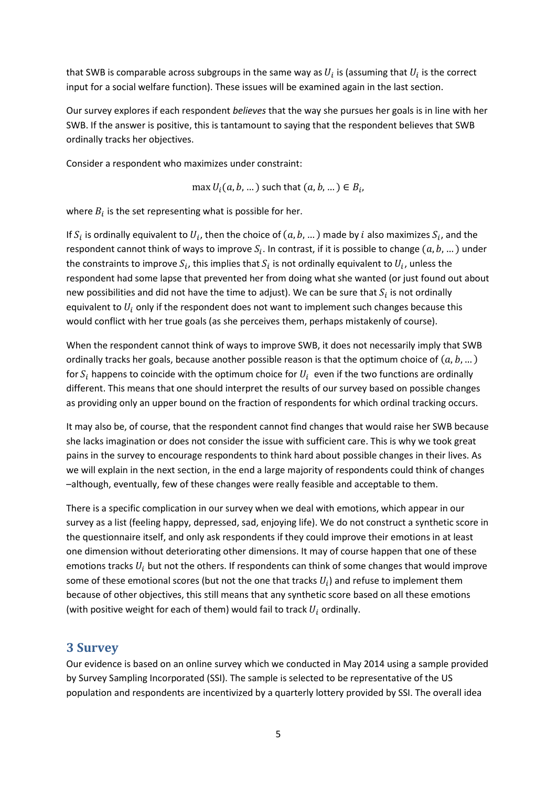that SWB is comparable across subgroups in the same way as  $U_i$  is (assuming that  $U_i$  is the correct input for a social welfare function). These issues will be examined again in the last section.

Our survey explores if each respondent *believes* that the way she pursues her goals is in line with her SWB. If the answer is positive, this is tantamount to saying that the respondent believes that SWB ordinally tracks her objectives.

Consider a respondent who maximizes under constraint:

max  $U_i(a, b, ...)$  such that  $(a, b, ...) \in B_i$ ,

where  $B_i$  is the set representing what is possible for her.

If  $S_i$  is ordinally equivalent to  $U_i$ , then the choice of  $(a, b, ... )$  made by i also maximizes  $S_i$ , and the respondent cannot think of ways to improve  $S_i$ . In contrast, if it is possible to change  $(a, b, ...)$  under the constraints to improve  $S_i$ , this implies that  $S_i$  is not ordinally equivalent to  $U_i$ , unless the respondent had some lapse that prevented her from doing what she wanted (or just found out about new possibilities and did not have the time to adjust). We can be sure that  $S_i$  is not ordinally equivalent to  $U_i$  only if the respondent does not want to implement such changes because this would conflict with her true goals (as she perceives them, perhaps mistakenly of course).

When the respondent cannot think of ways to improve SWB, it does not necessarily imply that SWB ordinally tracks her goals, because another possible reason is that the optimum choice of  $(a, b, ... )$ for  $S_i$  happens to coincide with the optimum choice for  $U_i$  even if the two functions are ordinally different. This means that one should interpret the results of our survey based on possible changes as providing only an upper bound on the fraction of respondents for which ordinal tracking occurs.

It may also be, of course, that the respondent cannot find changes that would raise her SWB because she lacks imagination or does not consider the issue with sufficient care. This is why we took great pains in the survey to encourage respondents to think hard about possible changes in their lives. As we will explain in the next section, in the end a large majority of respondents could think of changes –although, eventually, few of these changes were really feasible and acceptable to them.

There is a specific complication in our survey when we deal with emotions, which appear in our survey as a list (feeling happy, depressed, sad, enjoying life). We do not construct a synthetic score in the questionnaire itself, and only ask respondents if they could improve their emotions in at least one dimension without deteriorating other dimensions. It may of course happen that one of these emotions tracks  $U_i$  but not the others. If respondents can think of some changes that would improve some of these emotional scores (but not the one that tracks  $U_i$ ) and refuse to implement them because of other objectives, this still means that any synthetic score based on all these emotions (with positive weight for each of them) would fail to track  $U_i$  ordinally.

# **3 Survey**

Our evidence is based on an online survey which we conducted in May 2014 using a sample provided by Survey Sampling Incorporated (SSI). The sample is selected to be representative of the US population and respondents are incentivized by a quarterly lottery provided by SSI. The overall idea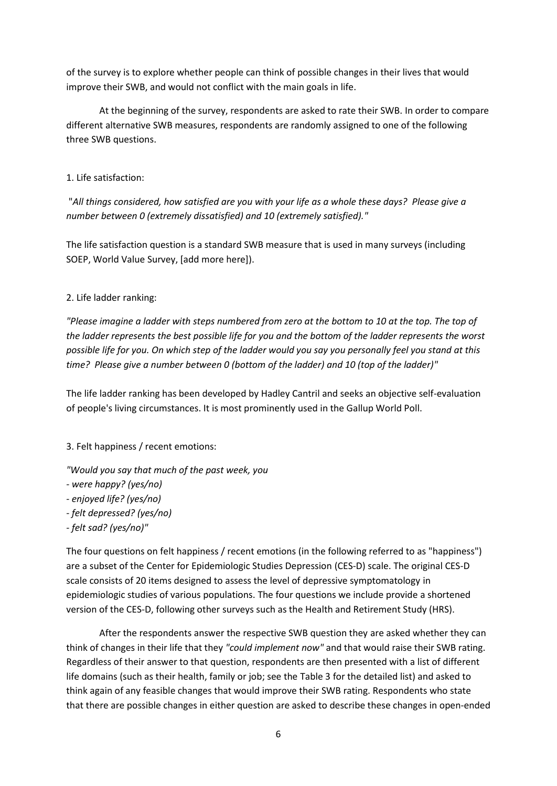of the survey is to explore whether people can think of possible changes in their lives that would improve their SWB, and would not conflict with the main goals in life.

At the beginning of the survey, respondents are asked to rate their SWB. In order to compare different alternative SWB measures, respondents are randomly assigned to one of the following three SWB questions.

1. Life satisfaction:

"*All things considered, how satisfied are you with your life as a whole these days? Please give a number between 0 (extremely dissatisfied) and 10 (extremely satisfied)."*

The life satisfaction question is a standard SWB measure that is used in many surveys (including SOEP, World Value Survey, [add more here]).

### 2. Life ladder ranking:

*"Please imagine a ladder with steps numbered from zero at the bottom to 10 at the top. The top of the ladder represents the best possible life for you and the bottom of the ladder represents the worst possible life for you. On which step of the ladder would you say you personally feel you stand at this time? Please give a number between 0 (bottom of the ladder) and 10 (top of the ladder)"*

The life ladder ranking has been developed by Hadley Cantril and seeks an objective self-evaluation of people's living circumstances. It is most prominently used in the Gallup World Poll.

### 3. Felt happiness / recent emotions:

*"Would you say that much of the past week, you* 

- *- were happy? (yes/no)*
- *- enjoyed life? (yes/no)*
- *- felt depressed? (yes/no)*
- *- felt sad? (yes/no)"*

The four questions on felt happiness / recent emotions (in the following referred to as "happiness") are a subset of the Center for Epidemiologic Studies Depression (CES-D) scale. The original CES-D scale consists of 20 items designed to assess the level of depressive symptomatology in epidemiologic studies of various populations. The four questions we include provide a shortened version of the CES-D, following other surveys such as the Health and Retirement Study (HRS).

After the respondents answer the respective SWB question they are asked whether they can think of changes in their life that they *"could implement now"* and that would raise their SWB rating. Regardless of their answer to that question, respondents are then presented with a list of different life domains (such as their health, family or job; see the Table 3 for the detailed list) and asked to think again of any feasible changes that would improve their SWB rating. Respondents who state that there are possible changes in either question are asked to describe these changes in open-ended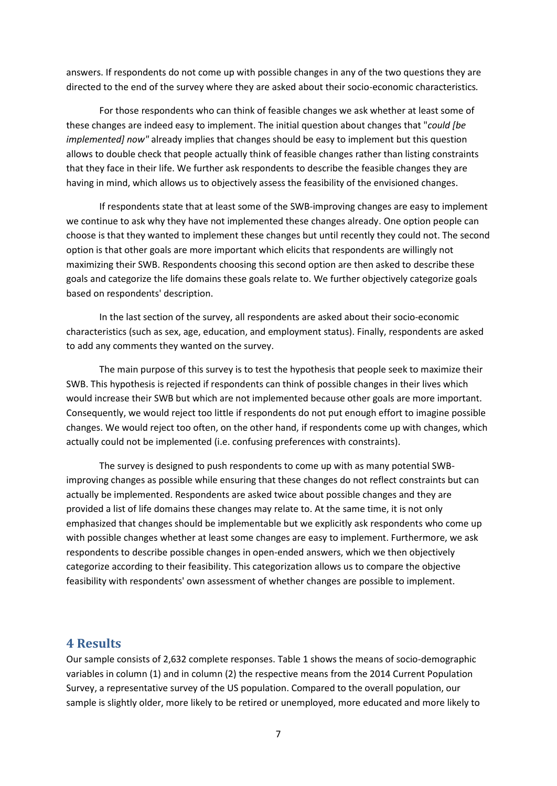answers. If respondents do not come up with possible changes in any of the two questions they are directed to the end of the survey where they are asked about their socio-economic characteristics*.*

For those respondents who can think of feasible changes we ask whether at least some of these changes are indeed easy to implement. The initial question about changes that "*could [be implemented] now"* already implies that changes should be easy to implement but this question allows to double check that people actually think of feasible changes rather than listing constraints that they face in their life. We further ask respondents to describe the feasible changes they are having in mind, which allows us to objectively assess the feasibility of the envisioned changes.

If respondents state that at least some of the SWB-improving changes are easy to implement we continue to ask why they have not implemented these changes already. One option people can choose is that they wanted to implement these changes but until recently they could not. The second option is that other goals are more important which elicits that respondents are willingly not maximizing their SWB. Respondents choosing this second option are then asked to describe these goals and categorize the life domains these goals relate to. We further objectively categorize goals based on respondents' description.

In the last section of the survey, all respondents are asked about their socio-economic characteristics (such as sex, age, education, and employment status). Finally, respondents are asked to add any comments they wanted on the survey.

The main purpose of this survey is to test the hypothesis that people seek to maximize their SWB. This hypothesis is rejected if respondents can think of possible changes in their lives which would increase their SWB but which are not implemented because other goals are more important. Consequently, we would reject too little if respondents do not put enough effort to imagine possible changes. We would reject too often, on the other hand, if respondents come up with changes, which actually could not be implemented (i.e. confusing preferences with constraints).

The survey is designed to push respondents to come up with as many potential SWBimproving changes as possible while ensuring that these changes do not reflect constraints but can actually be implemented. Respondents are asked twice about possible changes and they are provided a list of life domains these changes may relate to. At the same time, it is not only emphasized that changes should be implementable but we explicitly ask respondents who come up with possible changes whether at least some changes are easy to implement. Furthermore, we ask respondents to describe possible changes in open-ended answers, which we then objectively categorize according to their feasibility. This categorization allows us to compare the objective feasibility with respondents' own assessment of whether changes are possible to implement.

### **4 Results**

Our sample consists of 2,632 complete responses. Table 1 shows the means of socio-demographic variables in column (1) and in column (2) the respective means from the 2014 Current Population Survey, a representative survey of the US population. Compared to the overall population, our sample is slightly older, more likely to be retired or unemployed, more educated and more likely to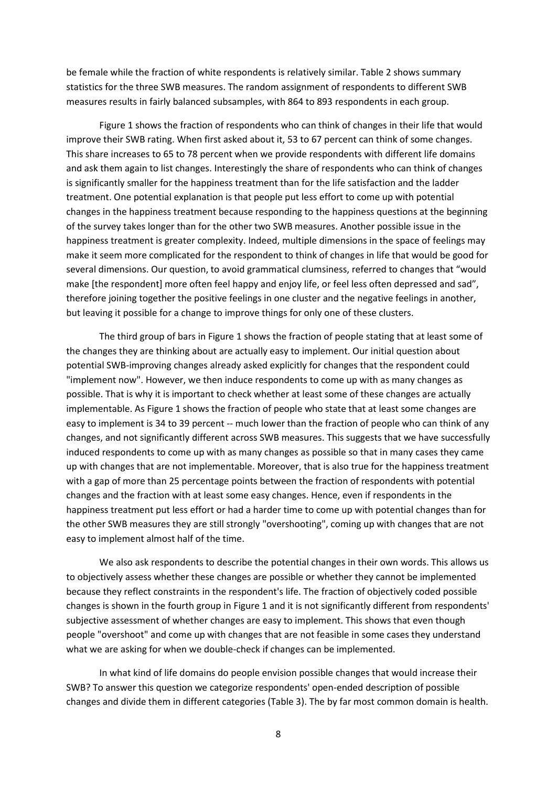be female while the fraction of white respondents is relatively similar. Table 2 shows summary statistics for the three SWB measures. The random assignment of respondents to different SWB measures results in fairly balanced subsamples, with 864 to 893 respondents in each group.

Figure 1 shows the fraction of respondents who can think of changes in their life that would improve their SWB rating. When first asked about it, 53 to 67 percent can think of some changes. This share increases to 65 to 78 percent when we provide respondents with different life domains and ask them again to list changes. Interestingly the share of respondents who can think of changes is significantly smaller for the happiness treatment than for the life satisfaction and the ladder treatment. One potential explanation is that people put less effort to come up with potential changes in the happiness treatment because responding to the happiness questions at the beginning of the survey takes longer than for the other two SWB measures. Another possible issue in the happiness treatment is greater complexity. Indeed, multiple dimensions in the space of feelings may make it seem more complicated for the respondent to think of changes in life that would be good for several dimensions. Our question, to avoid grammatical clumsiness, referred to changes that "would make [the respondent] more often feel happy and enjoy life, or feel less often depressed and sad", therefore joining together the positive feelings in one cluster and the negative feelings in another, but leaving it possible for a change to improve things for only one of these clusters.

The third group of bars in Figure 1 shows the fraction of people stating that at least some of the changes they are thinking about are actually easy to implement. Our initial question about potential SWB-improving changes already asked explicitly for changes that the respondent could "implement now". However, we then induce respondents to come up with as many changes as possible. That is why it is important to check whether at least some of these changes are actually implementable. As Figure 1 shows the fraction of people who state that at least some changes are easy to implement is 34 to 39 percent -- much lower than the fraction of people who can think of any changes, and not significantly different across SWB measures. This suggests that we have successfully induced respondents to come up with as many changes as possible so that in many cases they came up with changes that are not implementable. Moreover, that is also true for the happiness treatment with a gap of more than 25 percentage points between the fraction of respondents with potential changes and the fraction with at least some easy changes. Hence, even if respondents in the happiness treatment put less effort or had a harder time to come up with potential changes than for the other SWB measures they are still strongly "overshooting", coming up with changes that are not easy to implement almost half of the time.

We also ask respondents to describe the potential changes in their own words. This allows us to objectively assess whether these changes are possible or whether they cannot be implemented because they reflect constraints in the respondent's life. The fraction of objectively coded possible changes is shown in the fourth group in Figure 1 and it is not significantly different from respondents' subjective assessment of whether changes are easy to implement. This shows that even though people "overshoot" and come up with changes that are not feasible in some cases they understand what we are asking for when we double-check if changes can be implemented.

In what kind of life domains do people envision possible changes that would increase their SWB? To answer this question we categorize respondents' open-ended description of possible changes and divide them in different categories (Table 3). The by far most common domain is health.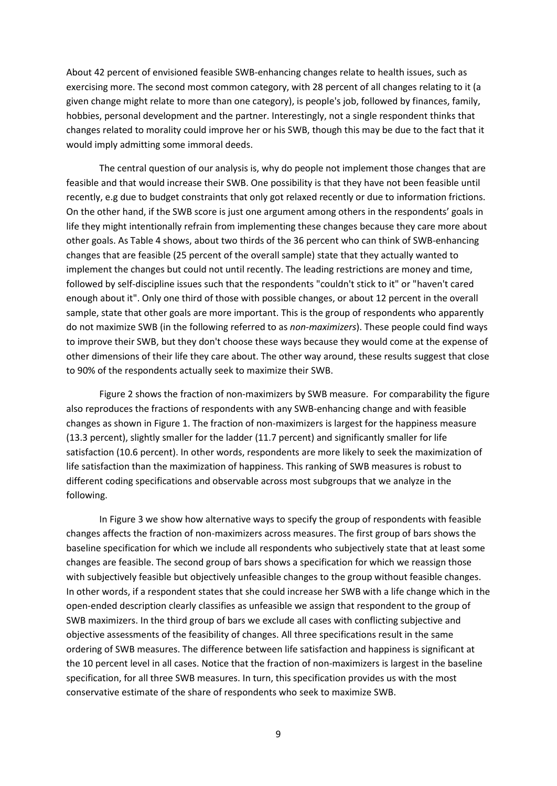About 42 percent of envisioned feasible SWB-enhancing changes relate to health issues, such as exercising more. The second most common category, with 28 percent of all changes relating to it (a given change might relate to more than one category), is people's job, followed by finances, family, hobbies, personal development and the partner. Interestingly, not a single respondent thinks that changes related to morality could improve her or his SWB, though this may be due to the fact that it would imply admitting some immoral deeds.

The central question of our analysis is, why do people not implement those changes that are feasible and that would increase their SWB. One possibility is that they have not been feasible until recently, e.g due to budget constraints that only got relaxed recently or due to information frictions. On the other hand, if the SWB score is just one argument among others in the respondents' goals in life they might intentionally refrain from implementing these changes because they care more about other goals. As Table 4 shows, about two thirds of the 36 percent who can think of SWB-enhancing changes that are feasible (25 percent of the overall sample) state that they actually wanted to implement the changes but could not until recently. The leading restrictions are money and time, followed by self-discipline issues such that the respondents "couldn't stick to it" or "haven't cared enough about it". Only one third of those with possible changes, or about 12 percent in the overall sample, state that other goals are more important. This is the group of respondents who apparently do not maximize SWB (in the following referred to as *non-maximizers*). These people could find ways to improve their SWB, but they don't choose these ways because they would come at the expense of other dimensions of their life they care about. The other way around, these results suggest that close to 90% of the respondents actually seek to maximize their SWB.

Figure 2 shows the fraction of non-maximizers by SWB measure. For comparability the figure also reproduces the fractions of respondents with any SWB-enhancing change and with feasible changes as shown in Figure 1. The fraction of non-maximizers is largest for the happiness measure (13.3 percent), slightly smaller for the ladder (11.7 percent) and significantly smaller for life satisfaction (10.6 percent). In other words, respondents are more likely to seek the maximization of life satisfaction than the maximization of happiness. This ranking of SWB measures is robust to different coding specifications and observable across most subgroups that we analyze in the following.

In Figure 3 we show how alternative ways to specify the group of respondents with feasible changes affects the fraction of non-maximizers across measures. The first group of bars shows the baseline specification for which we include all respondents who subjectively state that at least some changes are feasible. The second group of bars shows a specification for which we reassign those with subjectively feasible but objectively unfeasible changes to the group without feasible changes. In other words, if a respondent states that she could increase her SWB with a life change which in the open-ended description clearly classifies as unfeasible we assign that respondent to the group of SWB maximizers. In the third group of bars we exclude all cases with conflicting subjective and objective assessments of the feasibility of changes. All three specifications result in the same ordering of SWB measures. The difference between life satisfaction and happiness is significant at the 10 percent level in all cases. Notice that the fraction of non-maximizers is largest in the baseline specification, for all three SWB measures. In turn, this specification provides us with the most conservative estimate of the share of respondents who seek to maximize SWB.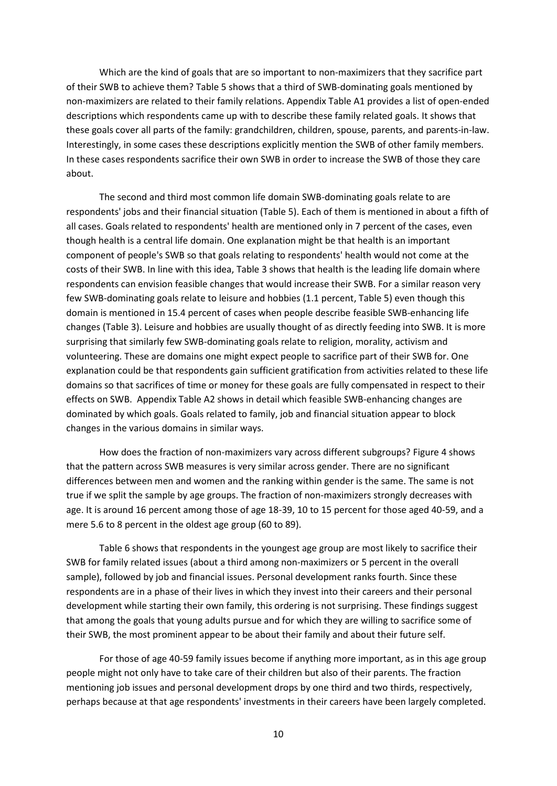Which are the kind of goals that are so important to non-maximizers that they sacrifice part of their SWB to achieve them? Table 5 shows that a third of SWB-dominating goals mentioned by non-maximizers are related to their family relations. Appendix Table A1 provides a list of open-ended descriptions which respondents came up with to describe these family related goals. It shows that these goals cover all parts of the family: grandchildren, children, spouse, parents, and parents-in-law. Interestingly, in some cases these descriptions explicitly mention the SWB of other family members. In these cases respondents sacrifice their own SWB in order to increase the SWB of those they care about.

The second and third most common life domain SWB-dominating goals relate to are respondents' jobs and their financial situation (Table 5). Each of them is mentioned in about a fifth of all cases. Goals related to respondents' health are mentioned only in 7 percent of the cases, even though health is a central life domain. One explanation might be that health is an important component of people's SWB so that goals relating to respondents' health would not come at the costs of their SWB. In line with this idea, Table 3 shows that health is the leading life domain where respondents can envision feasible changes that would increase their SWB. For a similar reason very few SWB-dominating goals relate to leisure and hobbies (1.1 percent, Table 5) even though this domain is mentioned in 15.4 percent of cases when people describe feasible SWB-enhancing life changes (Table 3). Leisure and hobbies are usually thought of as directly feeding into SWB. It is more surprising that similarly few SWB-dominating goals relate to religion, morality, activism and volunteering. These are domains one might expect people to sacrifice part of their SWB for. One explanation could be that respondents gain sufficient gratification from activities related to these life domains so that sacrifices of time or money for these goals are fully compensated in respect to their effects on SWB. Appendix Table A2 shows in detail which feasible SWB-enhancing changes are dominated by which goals. Goals related to family, job and financial situation appear to block changes in the various domains in similar ways.

How does the fraction of non-maximizers vary across different subgroups? Figure 4 shows that the pattern across SWB measures is very similar across gender. There are no significant differences between men and women and the ranking within gender is the same. The same is not true if we split the sample by age groups. The fraction of non-maximizers strongly decreases with age. It is around 16 percent among those of age 18-39, 10 to 15 percent for those aged 40-59, and a mere 5.6 to 8 percent in the oldest age group (60 to 89).

Table 6 shows that respondents in the youngest age group are most likely to sacrifice their SWB for family related issues (about a third among non-maximizers or 5 percent in the overall sample), followed by job and financial issues. Personal development ranks fourth. Since these respondents are in a phase of their lives in which they invest into their careers and their personal development while starting their own family, this ordering is not surprising. These findings suggest that among the goals that young adults pursue and for which they are willing to sacrifice some of their SWB, the most prominent appear to be about their family and about their future self.

For those of age 40-59 family issues become if anything more important, as in this age group people might not only have to take care of their children but also of their parents. The fraction mentioning job issues and personal development drops by one third and two thirds, respectively, perhaps because at that age respondents' investments in their careers have been largely completed.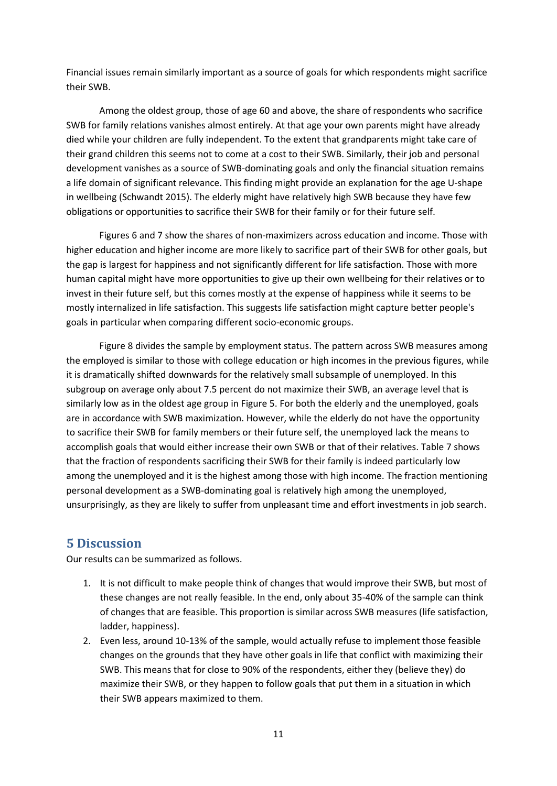Financial issues remain similarly important as a source of goals for which respondents might sacrifice their SWB.

Among the oldest group, those of age 60 and above, the share of respondents who sacrifice SWB for family relations vanishes almost entirely. At that age your own parents might have already died while your children are fully independent. To the extent that grandparents might take care of their grand children this seems not to come at a cost to their SWB. Similarly, their job and personal development vanishes as a source of SWB-dominating goals and only the financial situation remains a life domain of significant relevance. This finding might provide an explanation for the age U-shape in wellbeing (Schwandt 2015). The elderly might have relatively high SWB because they have few obligations or opportunities to sacrifice their SWB for their family or for their future self.

Figures 6 and 7 show the shares of non-maximizers across education and income. Those with higher education and higher income are more likely to sacrifice part of their SWB for other goals, but the gap is largest for happiness and not significantly different for life satisfaction. Those with more human capital might have more opportunities to give up their own wellbeing for their relatives or to invest in their future self, but this comes mostly at the expense of happiness while it seems to be mostly internalized in life satisfaction. This suggests life satisfaction might capture better people's goals in particular when comparing different socio-economic groups.

Figure 8 divides the sample by employment status. The pattern across SWB measures among the employed is similar to those with college education or high incomes in the previous figures, while it is dramatically shifted downwards for the relatively small subsample of unemployed. In this subgroup on average only about 7.5 percent do not maximize their SWB, an average level that is similarly low as in the oldest age group in Figure 5. For both the elderly and the unemployed, goals are in accordance with SWB maximization. However, while the elderly do not have the opportunity to sacrifice their SWB for family members or their future self, the unemployed lack the means to accomplish goals that would either increase their own SWB or that of their relatives. Table 7 shows that the fraction of respondents sacrificing their SWB for their family is indeed particularly low among the unemployed and it is the highest among those with high income. The fraction mentioning personal development as a SWB-dominating goal is relatively high among the unemployed, unsurprisingly, as they are likely to suffer from unpleasant time and effort investments in job search.

## **5 Discussion**

Our results can be summarized as follows.

- 1. It is not difficult to make people think of changes that would improve their SWB, but most of these changes are not really feasible. In the end, only about 35-40% of the sample can think of changes that are feasible. This proportion is similar across SWB measures (life satisfaction, ladder, happiness).
- 2. Even less, around 10-13% of the sample, would actually refuse to implement those feasible changes on the grounds that they have other goals in life that conflict with maximizing their SWB. This means that for close to 90% of the respondents, either they (believe they) do maximize their SWB, or they happen to follow goals that put them in a situation in which their SWB appears maximized to them.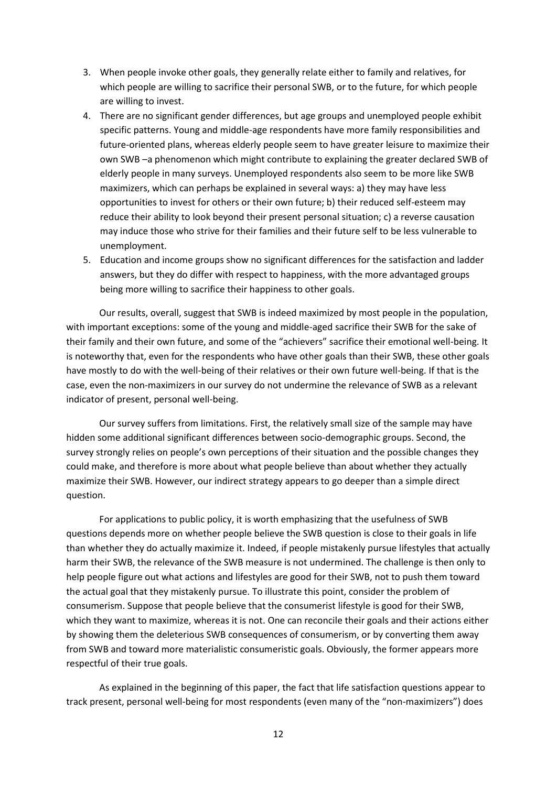- 3. When people invoke other goals, they generally relate either to family and relatives, for which people are willing to sacrifice their personal SWB, or to the future, for which people are willing to invest.
- 4. There are no significant gender differences, but age groups and unemployed people exhibit specific patterns. Young and middle-age respondents have more family responsibilities and future-oriented plans, whereas elderly people seem to have greater leisure to maximize their own SWB –a phenomenon which might contribute to explaining the greater declared SWB of elderly people in many surveys. Unemployed respondents also seem to be more like SWB maximizers, which can perhaps be explained in several ways: a) they may have less opportunities to invest for others or their own future; b) their reduced self-esteem may reduce their ability to look beyond their present personal situation; c) a reverse causation may induce those who strive for their families and their future self to be less vulnerable to unemployment.
- 5. Education and income groups show no significant differences for the satisfaction and ladder answers, but they do differ with respect to happiness, with the more advantaged groups being more willing to sacrifice their happiness to other goals.

Our results, overall, suggest that SWB is indeed maximized by most people in the population, with important exceptions: some of the young and middle-aged sacrifice their SWB for the sake of their family and their own future, and some of the "achievers" sacrifice their emotional well-being. It is noteworthy that, even for the respondents who have other goals than their SWB, these other goals have mostly to do with the well-being of their relatives or their own future well-being. If that is the case, even the non-maximizers in our survey do not undermine the relevance of SWB as a relevant indicator of present, personal well-being.

Our survey suffers from limitations. First, the relatively small size of the sample may have hidden some additional significant differences between socio-demographic groups. Second, the survey strongly relies on people's own perceptions of their situation and the possible changes they could make, and therefore is more about what people believe than about whether they actually maximize their SWB. However, our indirect strategy appears to go deeper than a simple direct question.

For applications to public policy, it is worth emphasizing that the usefulness of SWB questions depends more on whether people believe the SWB question is close to their goals in life than whether they do actually maximize it. Indeed, if people mistakenly pursue lifestyles that actually harm their SWB, the relevance of the SWB measure is not undermined. The challenge is then only to help people figure out what actions and lifestyles are good for their SWB, not to push them toward the actual goal that they mistakenly pursue. To illustrate this point, consider the problem of consumerism. Suppose that people believe that the consumerist lifestyle is good for their SWB, which they want to maximize, whereas it is not. One can reconcile their goals and their actions either by showing them the deleterious SWB consequences of consumerism, or by converting them away from SWB and toward more materialistic consumeristic goals. Obviously, the former appears more respectful of their true goals.

As explained in the beginning of this paper, the fact that life satisfaction questions appear to track present, personal well-being for most respondents (even many of the "non-maximizers") does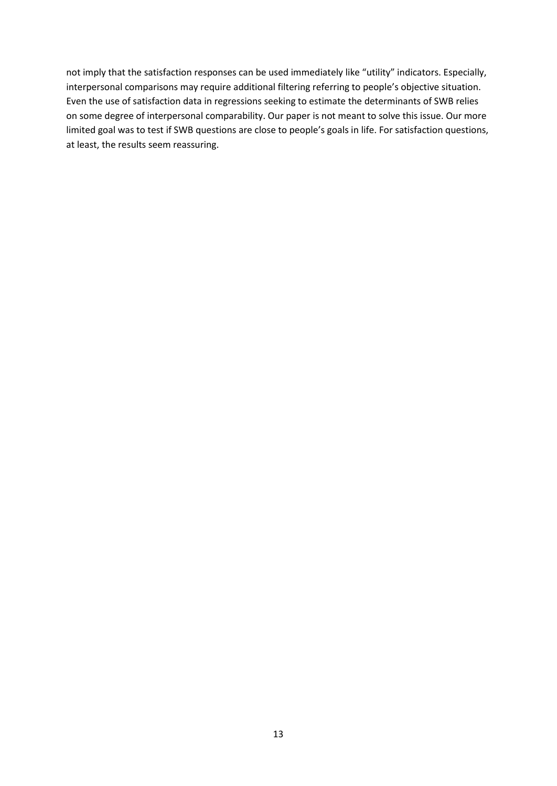not imply that the satisfaction responses can be used immediately like "utility" indicators. Especially, interpersonal comparisons may require additional filtering referring to people's objective situation. Even the use of satisfaction data in regressions seeking to estimate the determinants of SWB relies on some degree of interpersonal comparability. Our paper is not meant to solve this issue. Our more limited goal was to test if SWB questions are close to people's goals in life. For satisfaction questions, at least, the results seem reassuring.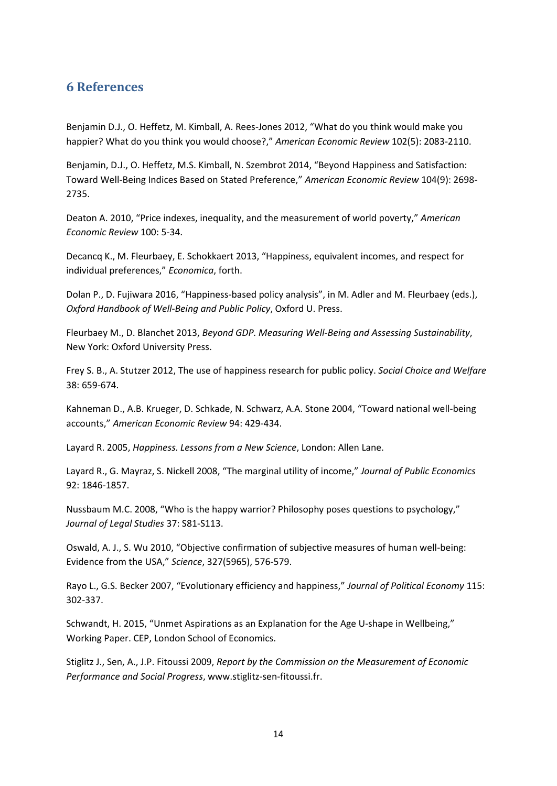## **6 References**

Benjamin D.J., O. Heffetz, M. Kimball, A. Rees-Jones 2012, "What do you think would make you happier? What do you think you would choose?," *American Economic Review* 102(5): 2083-2110.

Benjamin, D.J., O. Heffetz, M.S. Kimball, N. Szembrot 2014, "Beyond Happiness and Satisfaction: Toward Well-Being Indices Based on Stated Preference," *American Economic Review* 104(9): 2698- 2735.

Deaton A. 2010, "Price indexes, inequality, and the measurement of world poverty," *American Economic Review* 100: 5-34.

Decancq K., M. Fleurbaey, E. Schokkaert 2013, "Happiness, equivalent incomes, and respect for individual preferences," *Economica*, forth.

Dolan P., D. Fujiwara 2016, "Happiness-based policy analysis", in M. Adler and M. Fleurbaey (eds.), *Oxford Handbook of Well-Being and Public Policy*, Oxford U. Press.

Fleurbaey M., D. Blanchet 2013, *Beyond GDP. Measuring Well-Being and Assessing Sustainability*, New York: Oxford University Press.

Frey S. B., A. Stutzer 2012, The use of happiness research for public policy. *Social Choice and Welfare* 38: 659-674.

Kahneman D., A.B. Krueger, D. Schkade, N. Schwarz, A.A. Stone 2004, "Toward national well-being accounts," *American Economic Review* 94: 429-434.

Layard R. 2005, *Happiness. Lessons from a New Science*, London: Allen Lane.

Layard R., G. Mayraz, S. Nickell 2008, "The marginal utility of income," *Journal of Public Economics* 92: 1846-1857.

Nussbaum M.C. 2008, "Who is the happy warrior? Philosophy poses questions to psychology," *Journal of Legal Studies* 37: S81-S113.

Oswald, A. J., S. Wu 2010, "Objective confirmation of subjective measures of human well-being: Evidence from the USA," *Science*, 327(5965), 576-579.

Rayo L., G.S. Becker 2007, "Evolutionary efficiency and happiness," *Journal of Political Economy* 115: 302-337.

Schwandt, H. 2015, "Unmet Aspirations as an Explanation for the Age U-shape in Wellbeing," Working Paper. CEP, London School of Economics.

Stiglitz J., Sen, A., J.P. Fitoussi 2009, *Report by the Commission on the Measurement of Economic Performance and Social Progress*, www.stiglitz-sen-fitoussi.fr.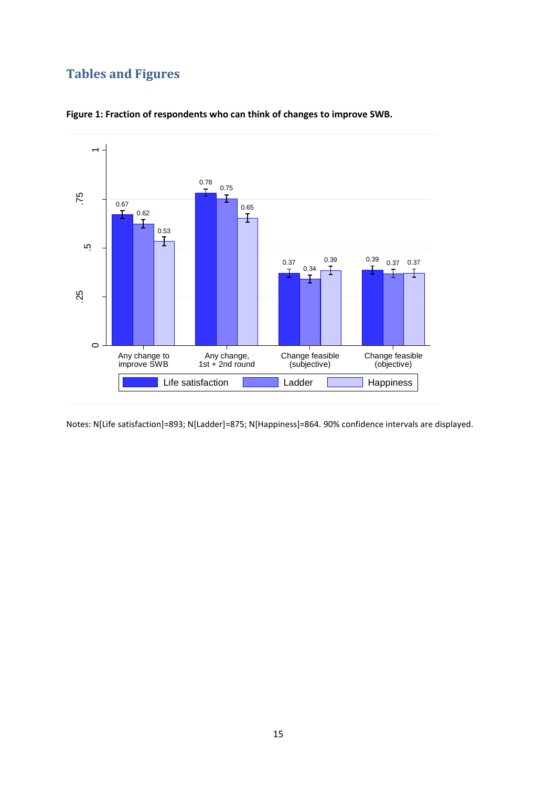# **Tables and Figures**



**Figure 1: Fraction of respondents who can think of changes to improve SWB.**

Notes: N[Life satisfaction]=893; N[Ladder]=875; N[Happiness]=864. 90% confidence intervals are displayed.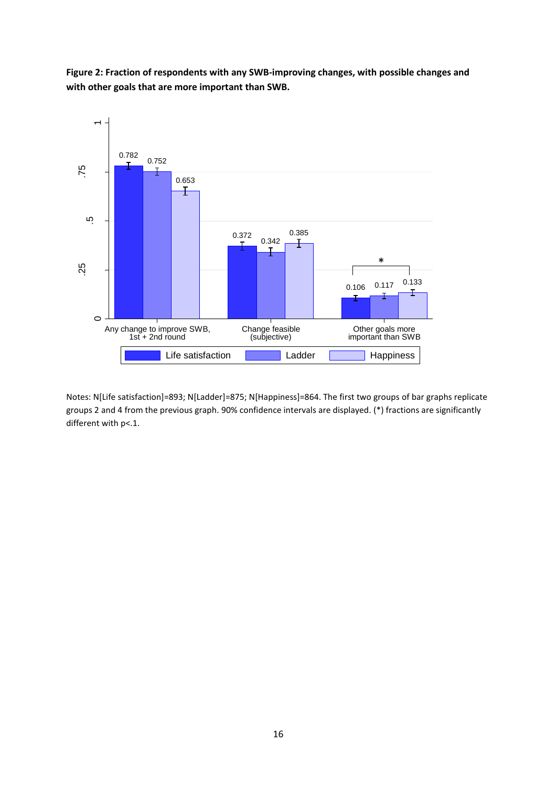**Figure 2: Fraction of respondents with any SWB-improving changes, with possible changes and with other goals that are more important than SWB.**



Notes: N[Life satisfaction]=893; N[Ladder]=875; N[Happiness]=864. The first two groups of bar graphs replicate groups 2 and 4 from the previous graph. 90% confidence intervals are displayed. (\*) fractions are significantly different with p<.1.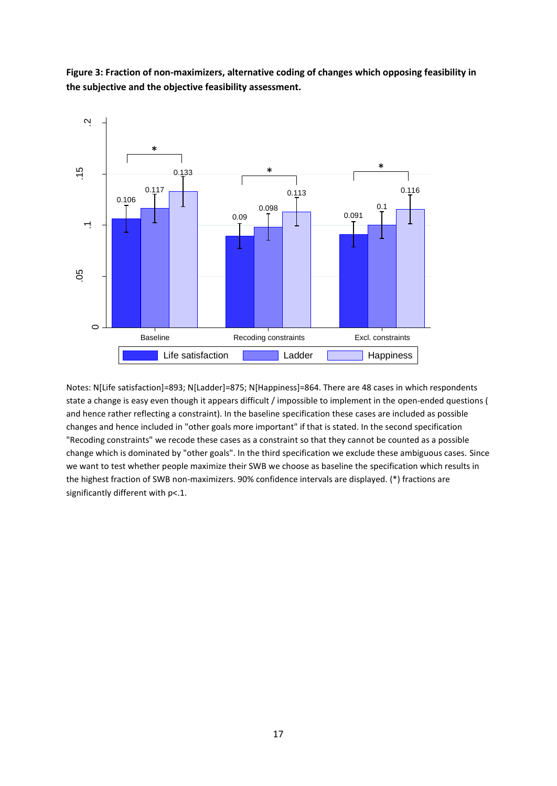**Figure 3: Fraction of non-maximizers, alternative coding of changes which opposing feasibility in the subjective and the objective feasibility assessment.**



Notes: N[Life satisfaction]=893; N[Ladder]=875; N[Happiness]=864. There are 48 cases in which respondents state a change is easy even though it appears difficult / impossible to implement in the open-ended questions ( and hence rather reflecting a constraint). In the baseline specification these cases are included as possible changes and hence included in "other goals more important" if that is stated. In the second specification "Recoding constraints" we recode these cases as a constraint so that they cannot be counted as a possible change which is dominated by "other goals". In the third specification we exclude these ambiguous cases. Since we want to test whether people maximize their SWB we choose as baseline the specification which results in the highest fraction of SWB non-maximizers. 90% confidence intervals are displayed. (\*) fractions are significantly different with p<.1.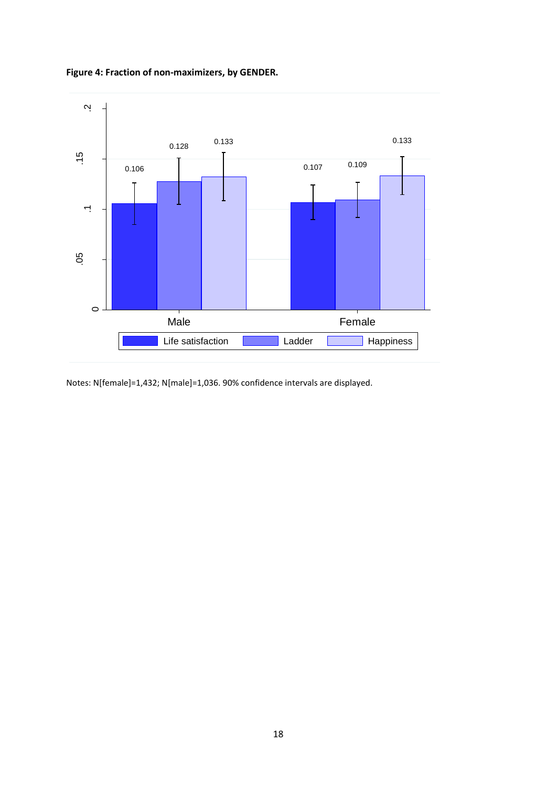

### **Figure 4: Fraction of non-maximizers, by GENDER.**

Notes: N[female]=1,432; N[male]=1,036. 90% confidence intervals are displayed.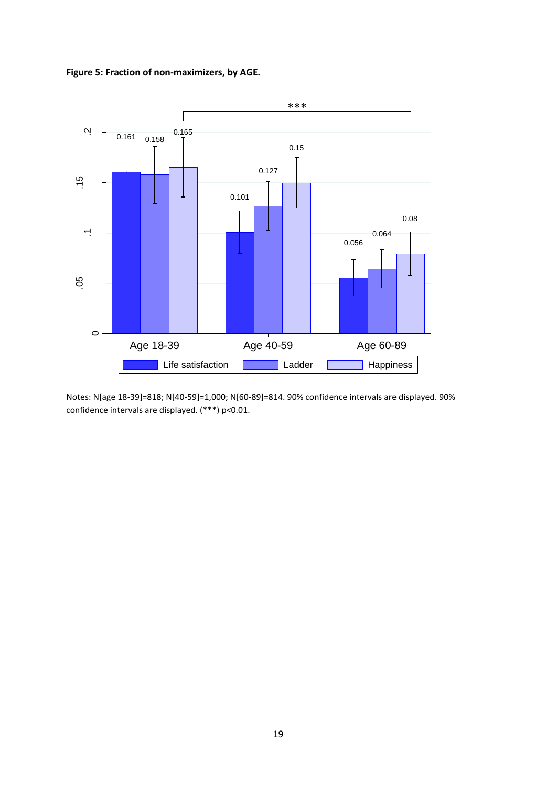



Notes: N[age 18-39]=818; N[40-59]=1,000; N[60-89]=814. 90% confidence intervals are displayed. 90% confidence intervals are displayed. (\*\*\*) p<0.01.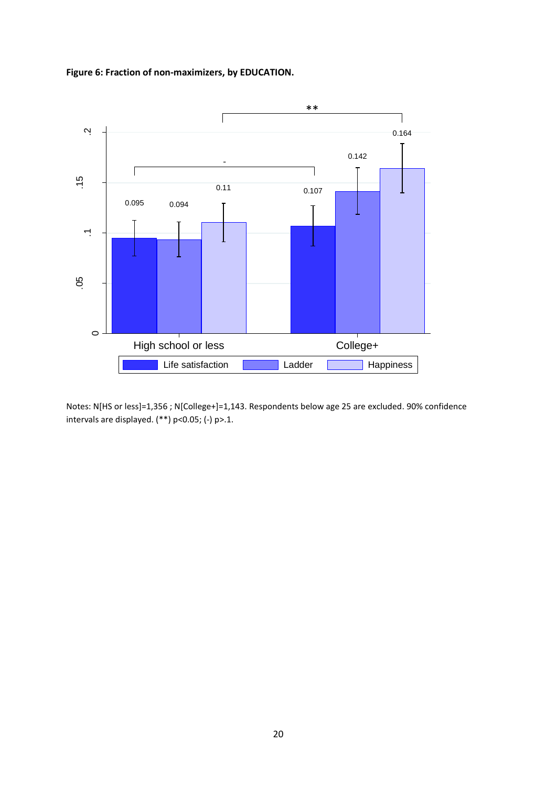**Figure 6: Fraction of non-maximizers, by EDUCATION.**



Notes: N[HS or less]=1,356 ; N[College+]=1,143. Respondents below age 25 are excluded. 90% confidence intervals are displayed. (\*\*) p<0.05; (-) p>.1.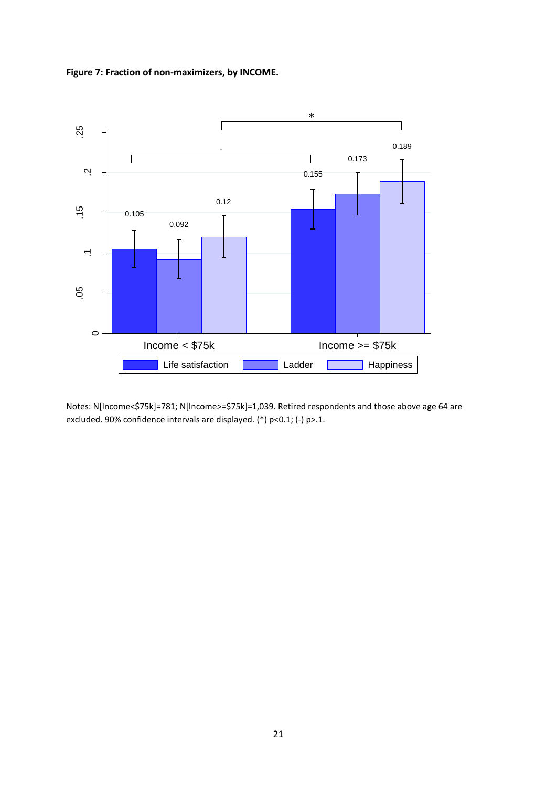**Figure 7: Fraction of non-maximizers, by INCOME.**



Notes: N[Income<\$75k]=781; N[Income>=\$75k]=1,039. Retired respondents and those above age 64 are excluded. 90% confidence intervals are displayed. (\*) p<0.1; (-) p>.1.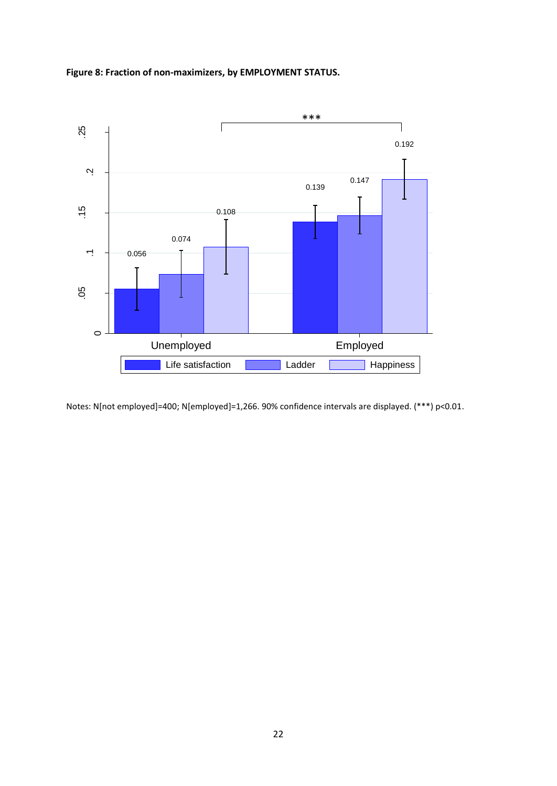



Notes: N[not employed]=400; N[employed]=1,266. 90% confidence intervals are displayed. (\*\*\*) p<0.01.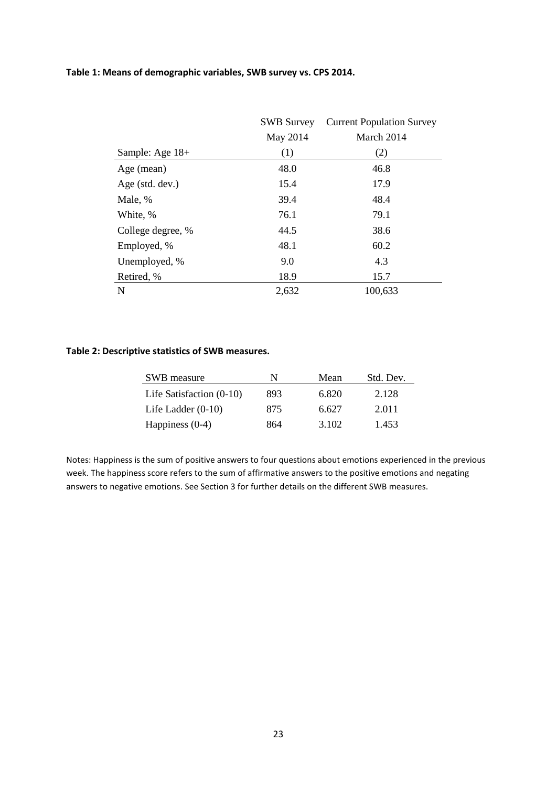#### **Table 1: Means of demographic variables, SWB survey vs. CPS 2014.**

|                   | <b>SWB Survey</b> | <b>Current Population Survey</b> |
|-------------------|-------------------|----------------------------------|
|                   | May 2014          | March 2014                       |
| Sample: Age 18+   | (1)               | (2)                              |
| Age (mean)        | 48.0              | 46.8                             |
| Age (std. dev.)   | 15.4              | 17.9                             |
| Male, %           | 39.4              | 48.4                             |
| White, %          | 76.1              | 79.1                             |
| College degree, % | 44.5              | 38.6                             |
| Employed, %       | 48.1              | 60.2                             |
| Unemployed, %     | 9.0               | 4.3                              |
| Retired, %        | 18.9              | 15.7                             |
| N                 | 2,632             | 100,633                          |

#### **Table 2: Descriptive statistics of SWB measures.**

| SWB measure                | N   | Mean  | Std. Dev. |
|----------------------------|-----|-------|-----------|
| Life Satisfaction $(0-10)$ | 893 | 6.820 | 2.128     |
| Life Ladder $(0-10)$       | 875 | 6.627 | 2.011     |
| Happiness $(0-4)$          | 864 | 3.102 | 1.453     |

Notes: Happiness is the sum of positive answers to four questions about emotions experienced in the previous week. The happiness score refers to the sum of affirmative answers to the positive emotions and negating answers to negative emotions. See Section 3 for further details on the different SWB measures.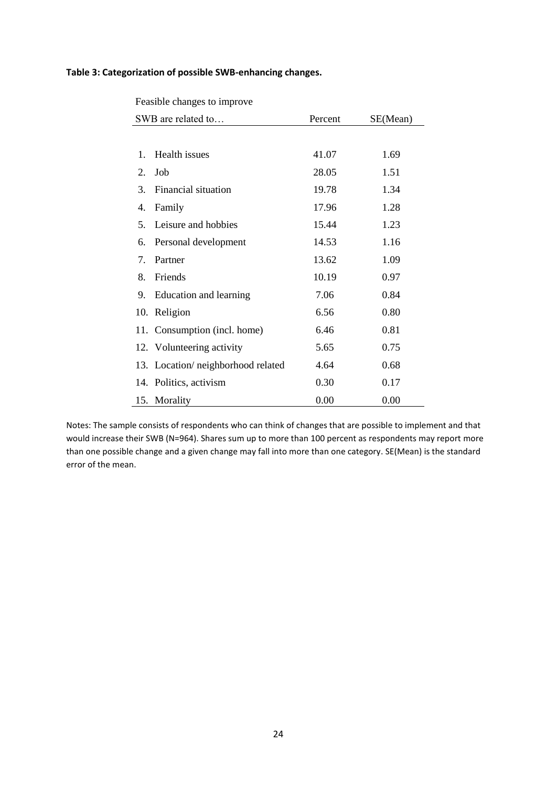#### **Table 3: Categorization of possible SWB-enhancing changes.**

| Feasible changes to improve |
|-----------------------------|
|-----------------------------|

|                                 | SWB are related to                 | Percent | SE(Mean) |  |  |
|---------------------------------|------------------------------------|---------|----------|--|--|
|                                 |                                    |         |          |  |  |
| 1.                              | Health issues                      | 41.07   | 1.69     |  |  |
| 2.                              | Job                                | 28.05   | 1.51     |  |  |
| 3.                              | Financial situation                | 19.78   | 1.34     |  |  |
| 4.                              | Family                             | 17.96   | 1.28     |  |  |
| 5.                              | Leisure and hobbies                | 15.44   | 1.23     |  |  |
| 6.                              | Personal development               | 14.53   | 1.16     |  |  |
| $7_{\scriptscriptstyle{\circ}}$ | Partner                            | 13.62   | 1.09     |  |  |
| 8.                              | Friends                            | 10.19   | 0.97     |  |  |
| 9.                              | Education and learning             | 7.06    | 0.84     |  |  |
|                                 | 10. Religion                       | 6.56    | 0.80     |  |  |
|                                 | 11. Consumption (incl. home)       | 6.46    | 0.81     |  |  |
|                                 | 12. Volunteering activity          | 5.65    | 0.75     |  |  |
|                                 | 13. Location/ neighborhood related | 4.64    | 0.68     |  |  |
|                                 | 14. Politics, activism             | 0.30    | 0.17     |  |  |
|                                 | 15. Morality                       | 0.00    | 0.00     |  |  |

Notes: The sample consists of respondents who can think of changes that are possible to implement and that would increase their SWB (N=964). Shares sum up to more than 100 percent as respondents may report more than one possible change and a given change may fall into more than one category. SE(Mean) is the standard error of the mean.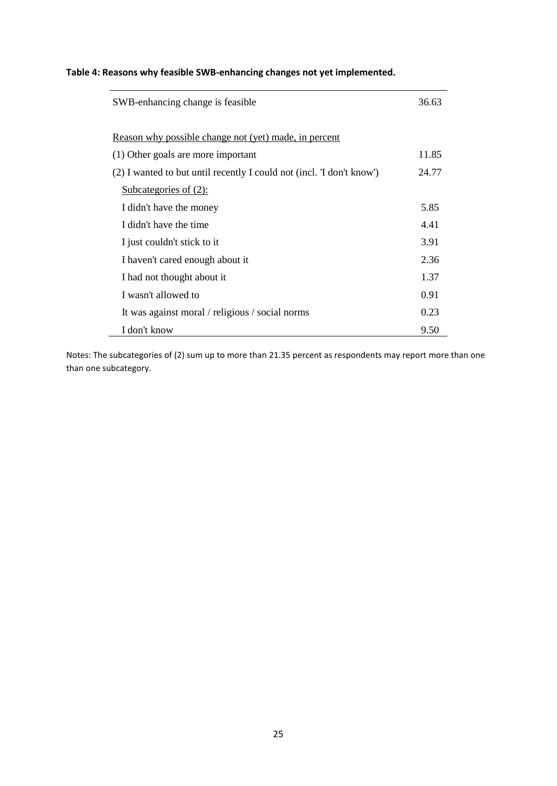### **Table 4: Reasons why feasible SWB-enhancing changes not yet implemented.**

| SWB-enhancing change is feasible.                                    | 36.63 |
|----------------------------------------------------------------------|-------|
| Reason why possible change not (yet) made, in percent                |       |
| (1) Other goals are more important                                   | 11.85 |
| (2) I wanted to but until recently I could not (incl. T don't know') | 24.77 |
| <u>Subcategories of <math>(2)</math>:</u>                            |       |
| I didn't have the money                                              | 5.85  |
| I didn't have the time                                               | 4.41  |
| I just couldn't stick to it                                          | 3.91  |
| I haven't cared enough about it                                      | 2.36  |
| I had not thought about it                                           | 1.37  |
| I wasn't allowed to                                                  | 0.91  |
| It was against moral / religious / social norms                      | 0.23  |
| I don't know                                                         | 9.50  |

Notes: The subcategories of (2) sum up to more than 21.35 percent as respondents may report more than one than one subcategory.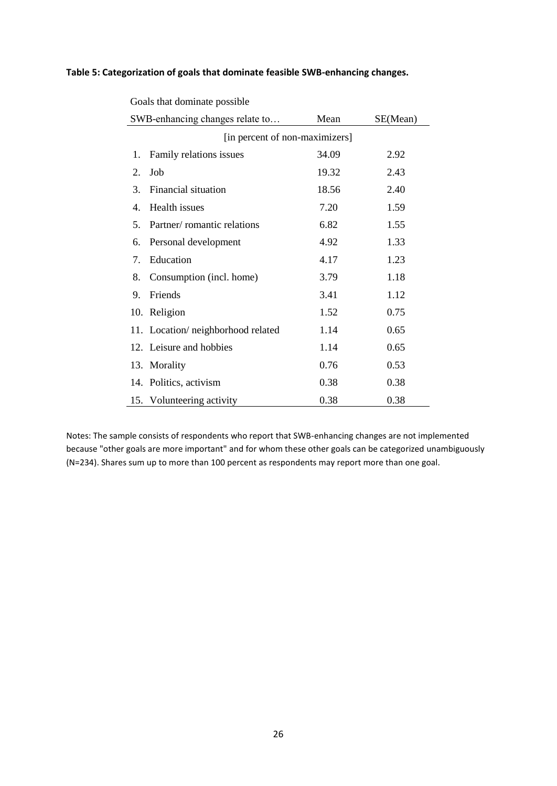#### **Table 5: Categorization of goals that dominate feasible SWB-enhancing changes.**

| SWB-enhancing changes relate to                           | Mean  | SE(Mean) |  |  |  |  |  |  |  |
|-----------------------------------------------------------|-------|----------|--|--|--|--|--|--|--|
| [in percent of non-maximizers]                            |       |          |  |  |  |  |  |  |  |
| Family relations issues<br>1.                             | 34.09 | 2.92     |  |  |  |  |  |  |  |
| Job<br>2.                                                 | 19.32 | 2.43     |  |  |  |  |  |  |  |
| Financial situation<br>3.                                 | 18.56 | 2.40     |  |  |  |  |  |  |  |
| Health issues<br>4.                                       | 7.20  | 1.59     |  |  |  |  |  |  |  |
| Partner/romantic relations<br>5.                          | 6.82  | 1.55     |  |  |  |  |  |  |  |
| Personal development<br>6.                                | 4.92  | 1.33     |  |  |  |  |  |  |  |
| Education<br>$7_{\scriptscriptstyle{\ddot{\phantom{1}}}}$ | 4.17  | 1.23     |  |  |  |  |  |  |  |
| 8.<br>Consumption (incl. home)                            | 3.79  | 1.18     |  |  |  |  |  |  |  |
| 9.<br>Friends                                             | 3.41  | 1.12     |  |  |  |  |  |  |  |
| 10. Religion                                              | 1.52  | 0.75     |  |  |  |  |  |  |  |
| 11. Location/neighborhood related                         | 1.14  | 0.65     |  |  |  |  |  |  |  |
| 12. Leisure and hobbies                                   | 1.14  | 0.65     |  |  |  |  |  |  |  |
| 13. Morality                                              | 0.76  | 0.53     |  |  |  |  |  |  |  |
| 14. Politics, activism                                    | 0.38  | 0.38     |  |  |  |  |  |  |  |
| 15. Volunteering activity                                 | 0.38  | 0.38     |  |  |  |  |  |  |  |

Goals that dominate possible

Notes: The sample consists of respondents who report that SWB-enhancing changes are not implemented because "other goals are more important" and for whom these other goals can be categorized unambiguously (N=234). Shares sum up to more than 100 percent as respondents may report more than one goal.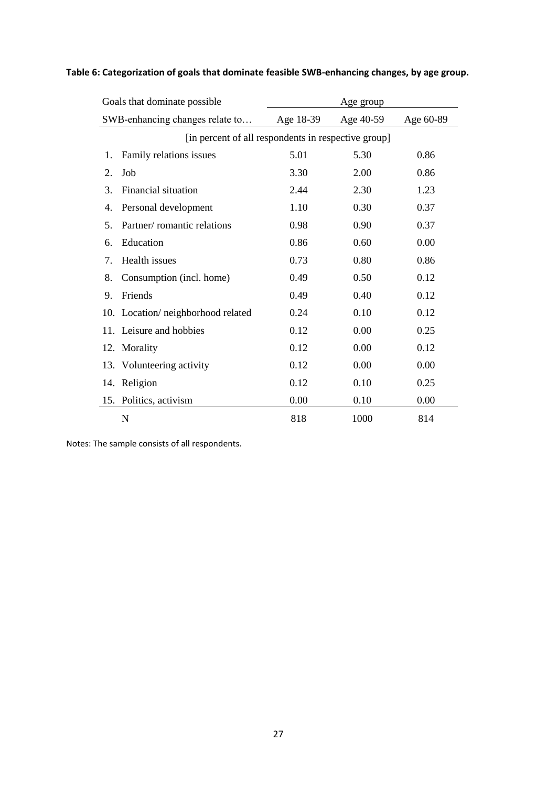| Goals that dominate possible                        | Age group |           |           |  |  |  |  |
|-----------------------------------------------------|-----------|-----------|-----------|--|--|--|--|
| SWB-enhancing changes relate to                     | Age 18-39 | Age 40-59 | Age 60-89 |  |  |  |  |
| [in percent of all respondents in respective group] |           |           |           |  |  |  |  |
| Family relations issues<br>1.                       | 5.01      | 5.30      | 0.86      |  |  |  |  |
| $\overline{2}$ .<br>Job                             | 3.30      | 2.00      | 0.86      |  |  |  |  |
| Financial situation<br>3.                           | 2.44      | 2.30      | 1.23      |  |  |  |  |
| Personal development<br>4.                          | 1.10      | 0.30      | 0.37      |  |  |  |  |
| Partner/romantic relations<br>5.                    | 0.98      | 0.90      | 0.37      |  |  |  |  |
| Education<br>6.                                     | 0.86      | 0.60      | 0.00      |  |  |  |  |
| Health issues<br>$7_{\cdot}$                        | 0.73      | 0.80      | 0.86      |  |  |  |  |
| Consumption (incl. home)<br>8.                      | 0.49      | 0.50      | 0.12      |  |  |  |  |
| Friends<br>9.                                       | 0.49      | 0.40      | 0.12      |  |  |  |  |
| 10. Location/neighborhood related                   | 0.24      | 0.10      | 0.12      |  |  |  |  |
| 11. Leisure and hobbies                             | 0.12      | 0.00      | 0.25      |  |  |  |  |
| 12. Morality                                        | 0.12      | 0.00      | 0.12      |  |  |  |  |
| 13. Volunteering activity                           | 0.12      | 0.00      | 0.00      |  |  |  |  |
| 14. Religion                                        | 0.12      | 0.10      | 0.25      |  |  |  |  |
| Politics, activism<br>15.                           | 0.00      | 0.10      | 0.00      |  |  |  |  |
| N                                                   | 818       | 1000      | 814       |  |  |  |  |

# **Table 6: Categorization of goals that dominate feasible SWB-enhancing changes, by age group.**

Notes: The sample consists of all respondents.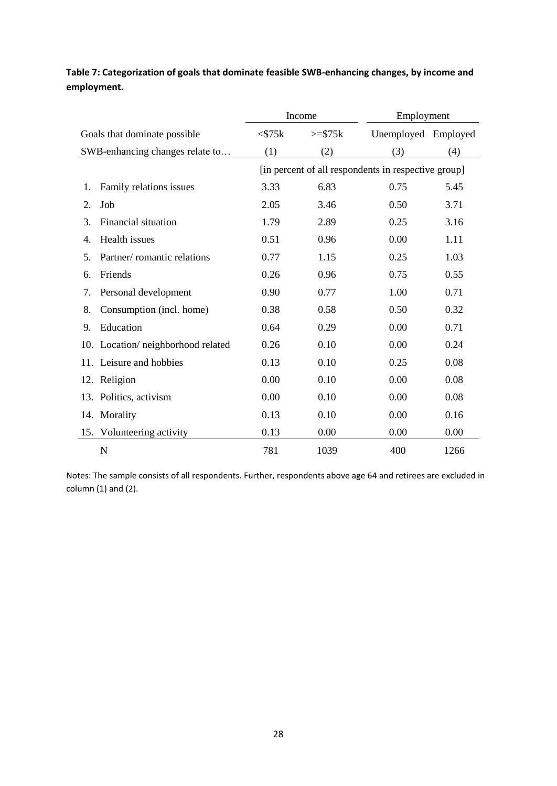# **Table 7: Categorization of goals that dominate feasible SWB-enhancing changes, by income and employment.**

|     |                                 |                                                     | Income    | Employment          |      |  |  |  |
|-----|---------------------------------|-----------------------------------------------------|-----------|---------------------|------|--|--|--|
|     | Goals that dominate possible    | $<$ \$75 $k$                                        | $>= $75k$ | Unemployed Employed |      |  |  |  |
|     | SWB-enhancing changes relate to | (1)                                                 | (2)       | (3)                 | (4)  |  |  |  |
|     |                                 | [in percent of all respondents in respective group] |           |                     |      |  |  |  |
| 1.  | Family relations issues         | 3.33                                                | 6.83      | 0.75                | 5.45 |  |  |  |
| 2.  | Job                             | 2.05                                                | 3.46      | 0.50                | 3.71 |  |  |  |
| 3.  | Financial situation             | 1.79                                                | 2.89      | 0.25                | 3.16 |  |  |  |
| 4.  | Health issues                   | 0.51                                                | 0.96      | 0.00                | 1.11 |  |  |  |
| 5.  | Partner/romantic relations      | 0.77                                                | 1.15      | 0.25                | 1.03 |  |  |  |
| 6.  | Friends                         | 0.26                                                | 0.96      |                     | 0.55 |  |  |  |
| 7.  | Personal development            | 0.90                                                | 0.77      | 1.00                | 0.71 |  |  |  |
| 8.  | Consumption (incl. home)        | 0.38                                                | 0.58      | 0.50                | 0.32 |  |  |  |
| 9.  | Education                       | 0.64                                                | 0.29      | 0.00                | 0.71 |  |  |  |
| 10. | Location/neighborhood related   | 0.26                                                | 0.10      | 0.00                | 0.24 |  |  |  |
|     | 11. Leisure and hobbies         | 0.13                                                | 0.10      | 0.25                | 0.08 |  |  |  |
|     | 12. Religion                    | 0.00                                                | 0.10      | 0.00                | 0.08 |  |  |  |
|     | 13. Politics, activism          | 0.00                                                | 0.10      | 0.00                | 0.08 |  |  |  |
|     | 14. Morality                    | 0.13                                                | 0.10      | 0.00                | 0.16 |  |  |  |
| 15. | Volunteering activity           | 0.13                                                | 0.00      | 0.00                | 0.00 |  |  |  |
|     | N                               | 781                                                 | 1039      | 400                 | 1266 |  |  |  |

Notes: The sample consists of all respondents. Further, respondents above age 64 and retirees are excluded in column (1) and (2).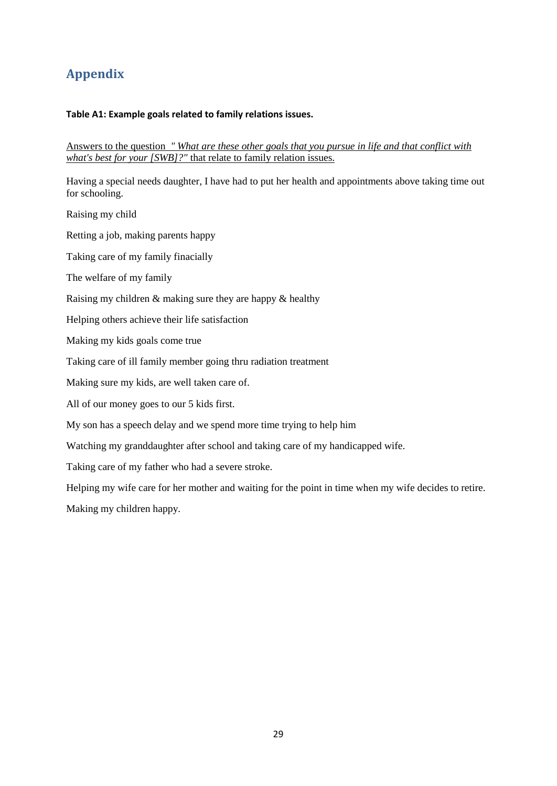# **Appendix**

### **Table A1: Example goals related to family relations issues.**

Answers to the question *" What are these other goals that you pursue in life and that conflict with what's best for your [SWB]?"* that relate to family relation issues.

Having a special needs daughter, I have had to put her health and appointments above taking time out for schooling.

Raising my child

Retting a job, making parents happy

Taking care of my family finacially

The welfare of my family

Raising my children & making sure they are happy & healthy

Helping others achieve their life satisfaction

Making my kids goals come true

Taking care of ill family member going thru radiation treatment

Making sure my kids, are well taken care of.

All of our money goes to our 5 kids first.

My son has a speech delay and we spend more time trying to help him

Watching my granddaughter after school and taking care of my handicapped wife.

Taking care of my father who had a severe stroke.

Helping my wife care for her mother and waiting for the point in time when my wife decides to retire.

Making my children happy.